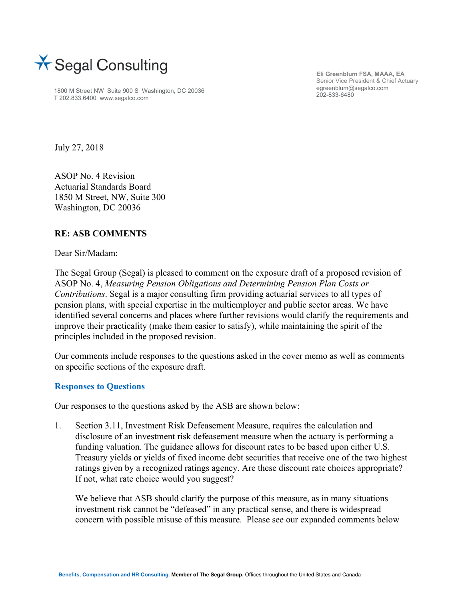

1800 M Street NW Suite 900 S Washington, DC 20036 T 202.833.6400 www.segalco.com

**Eli Greenblum FSA, MAAA, EA**  Senior Vice President & Chief Actuary egreenblum@segalco.com 202-833-6480

July 27, 2018

ASOP No. 4 Revision Actuarial Standards Board 1850 M Street, NW, Suite 300 Washington, DC 20036

## **RE: ASB COMMENTS**

Dear Sir/Madam:

The Segal Group (Segal) is pleased to comment on the exposure draft of a proposed revision of ASOP No. 4, *Measuring Pension Obligations and Determining Pension Plan Costs or Contributions*. Segal is a major consulting firm providing actuarial services to all types of pension plans, with special expertise in the multiemployer and public sector areas. We have identified several concerns and places where further revisions would clarify the requirements and improve their practicality (make them easier to satisfy), while maintaining the spirit of the principles included in the proposed revision.

Our comments include responses to the questions asked in the cover memo as well as comments on specific sections of the exposure draft.

## **Responses to Questions**

Our responses to the questions asked by the ASB are shown below:

1. Section 3.11, Investment Risk Defeasement Measure, requires the calculation and disclosure of an investment risk defeasement measure when the actuary is performing a funding valuation. The guidance allows for discount rates to be based upon either U.S. Treasury yields or yields of fixed income debt securities that receive one of the two highest ratings given by a recognized ratings agency. Are these discount rate choices appropriate? If not, what rate choice would you suggest?

We believe that ASB should clarify the purpose of this measure, as in many situations investment risk cannot be "defeased" in any practical sense, and there is widespread concern with possible misuse of this measure. Please see our expanded comments below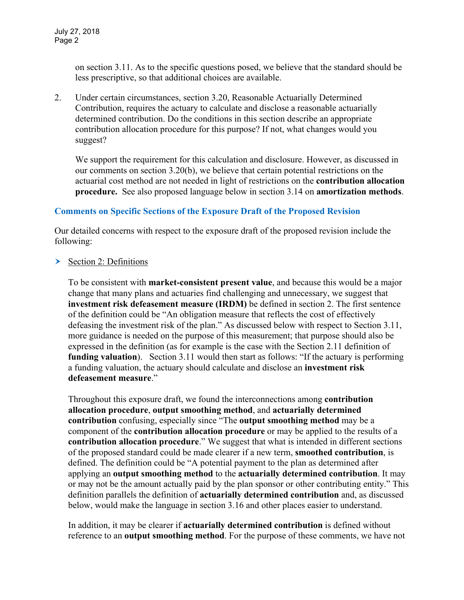on section 3.11. As to the specific questions posed, we believe that the standard should be less prescriptive, so that additional choices are available.

2. Under certain circumstances, section 3.20, Reasonable Actuarially Determined Contribution, requires the actuary to calculate and disclose a reasonable actuarially determined contribution. Do the conditions in this section describe an appropriate contribution allocation procedure for this purpose? If not, what changes would you suggest?

We support the requirement for this calculation and disclosure. However, as discussed in our comments on section 3.20(b), we believe that certain potential restrictions on the actuarial cost method are not needed in light of restrictions on the **contribution allocation procedure.** See also proposed language below in section 3.14 on **amortization methods**.

## **Comments on Specific Sections of the Exposure Draft of the Proposed Revision**

Our detailed concerns with respect to the exposure draft of the proposed revision include the following:

Section 2: Definitions

To be consistent with **market-consistent present value**, and because this would be a major change that many plans and actuaries find challenging and unnecessary, we suggest that **investment risk defeasement measure (IRDM)** be defined in section 2. The first sentence of the definition could be "An obligation measure that reflects the cost of effectively defeasing the investment risk of the plan." As discussed below with respect to Section 3.11, more guidance is needed on the purpose of this measurement; that purpose should also be expressed in the definition (as for example is the case with the Section 2.11 definition of **funding valuation**). Section 3.11 would then start as follows: "If the actuary is performing a funding valuation, the actuary should calculate and disclose an **investment risk defeasement measure**."

Throughout this exposure draft, we found the interconnections among **contribution allocation procedure**, **output smoothing method**, and **actuarially determined contribution** confusing, especially since "The **output smoothing method** may be a component of the **contribution allocation procedure** or may be applied to the results of a **contribution allocation procedure**." We suggest that what is intended in different sections of the proposed standard could be made clearer if a new term, **smoothed contribution**, is defined. The definition could be "A potential payment to the plan as determined after applying an **output smoothing method** to the **actuarially determined contribution**. It may or may not be the amount actually paid by the plan sponsor or other contributing entity." This definition parallels the definition of **actuarially determined contribution** and, as discussed below, would make the language in section 3.16 and other places easier to understand.

In addition, it may be clearer if **actuarially determined contribution** is defined without reference to an **output smoothing method**. For the purpose of these comments, we have not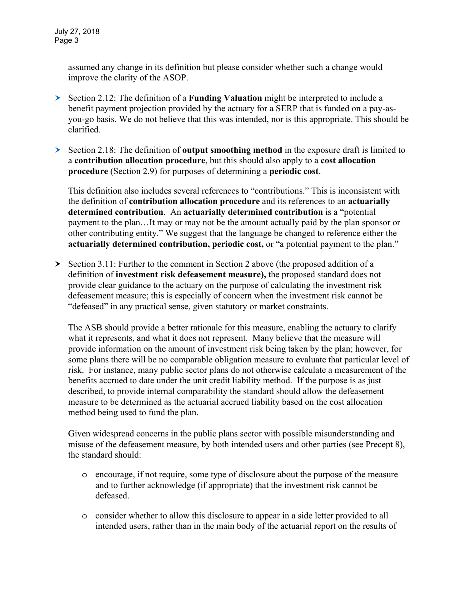assumed any change in its definition but please consider whether such a change would improve the clarity of the ASOP.

- Section 2.12: The definition of a **Funding Valuation** might be interpreted to include a benefit payment projection provided by the actuary for a SERP that is funded on a pay-asyou-go basis. We do not believe that this was intended, nor is this appropriate. This should be clarified.
- Section 2.18: The definition of **output smoothing method** in the exposure draft is limited to a **contribution allocation procedure**, but this should also apply to a **cost allocation procedure** (Section 2.9) for purposes of determining a **periodic cost**.

This definition also includes several references to "contributions." This is inconsistent with the definition of **contribution allocation procedure** and its references to an **actuarially determined contribution**. An **actuarially determined contribution** is a "potential payment to the plan…It may or may not be the amount actually paid by the plan sponsor or other contributing entity." We suggest that the language be changed to reference either the **actuarially determined contribution, periodic cost,** or "a potential payment to the plan."

 $\geq$  Section 3.11: Further to the comment in Section 2 above (the proposed addition of a definition of **investment risk defeasement measure),** the proposed standard does not provide clear guidance to the actuary on the purpose of calculating the investment risk defeasement measure; this is especially of concern when the investment risk cannot be "defeased" in any practical sense, given statutory or market constraints.

The ASB should provide a better rationale for this measure, enabling the actuary to clarify what it represents, and what it does not represent. Many believe that the measure will provide information on the amount of investment risk being taken by the plan; however, for some plans there will be no comparable obligation measure to evaluate that particular level of risk. For instance, many public sector plans do not otherwise calculate a measurement of the benefits accrued to date under the unit credit liability method. If the purpose is as just described, to provide internal comparability the standard should allow the defeasement measure to be determined as the actuarial accrued liability based on the cost allocation method being used to fund the plan.

Given widespread concerns in the public plans sector with possible misunderstanding and misuse of the defeasement measure, by both intended users and other parties (see Precept 8), the standard should:

- o encourage, if not require, some type of disclosure about the purpose of the measure and to further acknowledge (if appropriate) that the investment risk cannot be defeased.
- o consider whether to allow this disclosure to appear in a side letter provided to all intended users, rather than in the main body of the actuarial report on the results of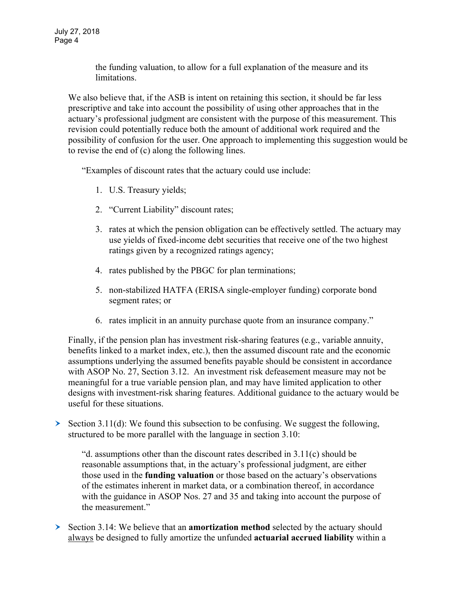the funding valuation, to allow for a full explanation of the measure and its limitations.

We also believe that, if the ASB is intent on retaining this section, it should be far less prescriptive and take into account the possibility of using other approaches that in the actuary's professional judgment are consistent with the purpose of this measurement. This revision could potentially reduce both the amount of additional work required and the possibility of confusion for the user. One approach to implementing this suggestion would be to revise the end of (c) along the following lines.

"Examples of discount rates that the actuary could use include:

- 1. U.S. Treasury yields;
- 2. "Current Liability" discount rates;
- 3. rates at which the pension obligation can be effectively settled. The actuary may use yields of fixed-income debt securities that receive one of the two highest ratings given by a recognized ratings agency;
- 4. rates published by the PBGC for plan terminations;
- 5. non-stabilized HATFA (ERISA single-employer funding) corporate bond segment rates; or
- 6. rates implicit in an annuity purchase quote from an insurance company."

Finally, if the pension plan has investment risk-sharing features (e.g., variable annuity, benefits linked to a market index, etc.), then the assumed discount rate and the economic assumptions underlying the assumed benefits payable should be consistent in accordance with ASOP No. 27, Section 3.12. An investment risk defeasement measure may not be meaningful for a true variable pension plan, and may have limited application to other designs with investment-risk sharing features. Additional guidance to the actuary would be useful for these situations.

Section 3.11(d): We found this subsection to be confusing. We suggest the following, structured to be more parallel with the language in section 3.10:

"d. assumptions other than the discount rates described in 3.11(c) should be reasonable assumptions that, in the actuary's professional judgment, are either those used in the **funding valuation** or those based on the actuary's observations of the estimates inherent in market data, or a combination thereof, in accordance with the guidance in ASOP Nos. 27 and 35 and taking into account the purpose of the measurement."

Section 3.14: We believe that an **amortization method** selected by the actuary should always be designed to fully amortize the unfunded **actuarial accrued liability** within a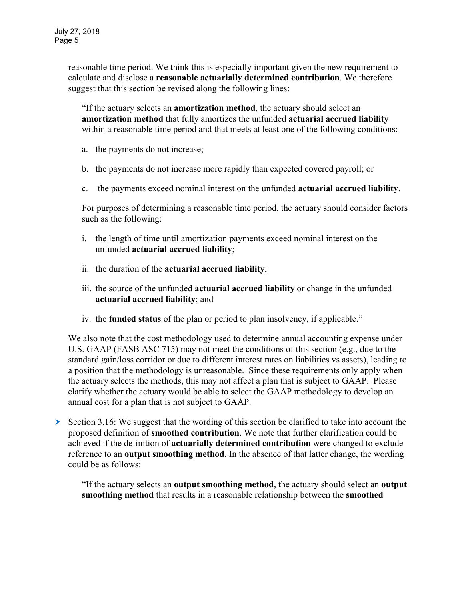reasonable time period. We think this is especially important given the new requirement to calculate and disclose a **reasonable actuarially determined contribution**. We therefore suggest that this section be revised along the following lines:

"If the actuary selects an **amortization method**, the actuary should select an **amortization method** that fully amortizes the unfunded **actuarial accrued liability** within a reasonable time period and that meets at least one of the following conditions:

- a. the payments do not increase;
- b. the payments do not increase more rapidly than expected covered payroll; or
- c. the payments exceed nominal interest on the unfunded **actuarial accrued liability**.

For purposes of determining a reasonable time period, the actuary should consider factors such as the following:

- i. the length of time until amortization payments exceed nominal interest on the unfunded **actuarial accrued liability**;
- ii. the duration of the **actuarial accrued liability**;
- iii. the source of the unfunded **actuarial accrued liability** or change in the unfunded **actuarial accrued liability**; and
- iv. the **funded status** of the plan or period to plan insolvency, if applicable."

We also note that the cost methodology used to determine annual accounting expense under U.S. GAAP (FASB ASC 715) may not meet the conditions of this section (e.g., due to the standard gain/loss corridor or due to different interest rates on liabilities vs assets), leading to a position that the methodology is unreasonable. Since these requirements only apply when the actuary selects the methods, this may not affect a plan that is subject to GAAP. Please clarify whether the actuary would be able to select the GAAP methodology to develop an annual cost for a plan that is not subject to GAAP.

 $\geq$  Section 3.16: We suggest that the wording of this section be clarified to take into account the proposed definition of **smoothed contribution**. We note that further clarification could be achieved if the definition of **actuarially determined contribution** were changed to exclude reference to an **output smoothing method**. In the absence of that latter change, the wording could be as follows:

"If the actuary selects an **output smoothing method**, the actuary should select an **output smoothing method** that results in a reasonable relationship between the **smoothed**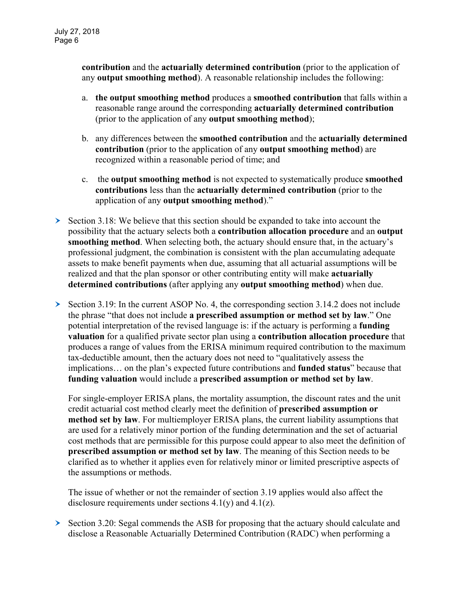**contribution** and the **actuarially determined contribution** (prior to the application of any **output smoothing method**). A reasonable relationship includes the following:

- a. **the output smoothing method** produces a **smoothed contribution** that falls within a reasonable range around the corresponding **actuarially determined contribution** (prior to the application of any **output smoothing method**);
- b. any differences between the **smoothed contribution** and the **actuarially determined contribution** (prior to the application of any **output smoothing method**) are recognized within a reasonable period of time; and
- c. the **output smoothing method** is not expected to systematically produce **smoothed contributions** less than the **actuarially determined contribution** (prior to the application of any **output smoothing method**)."
- $\triangleright$  Section 3.18: We believe that this section should be expanded to take into account the possibility that the actuary selects both a **contribution allocation procedure** and an **output smoothing method**. When selecting both, the actuary should ensure that, in the actuary's professional judgment, the combination is consistent with the plan accumulating adequate assets to make benefit payments when due, assuming that all actuarial assumptions will be realized and that the plan sponsor or other contributing entity will make **actuarially determined contributions** (after applying any **output smoothing method**) when due.
- Section 3.19: In the current ASOP No. 4, the corresponding section 3.14.2 does not include the phrase "that does not include **a prescribed assumption or method set by law**." One potential interpretation of the revised language is: if the actuary is performing a **funding valuation** for a qualified private sector plan using a **contribution allocation procedure** that produces a range of values from the ERISA minimum required contribution to the maximum tax-deductible amount, then the actuary does not need to "qualitatively assess the implications… on the plan's expected future contributions and **funded status**" because that **funding valuation** would include a **prescribed assumption or method set by law**.

For single-employer ERISA plans, the mortality assumption, the discount rates and the unit credit actuarial cost method clearly meet the definition of **prescribed assumption or method set by law**. For multiemployer ERISA plans, the current liability assumptions that are used for a relatively minor portion of the funding determination and the set of actuarial cost methods that are permissible for this purpose could appear to also meet the definition of **prescribed assumption or method set by law**. The meaning of this Section needs to be clarified as to whether it applies even for relatively minor or limited prescriptive aspects of the assumptions or methods.

The issue of whether or not the remainder of section 3.19 applies would also affect the disclosure requirements under sections  $4.1(y)$  and  $4.1(z)$ .

 $\geq$  Section 3.20: Segal commends the ASB for proposing that the actuary should calculate and disclose a Reasonable Actuarially Determined Contribution (RADC) when performing a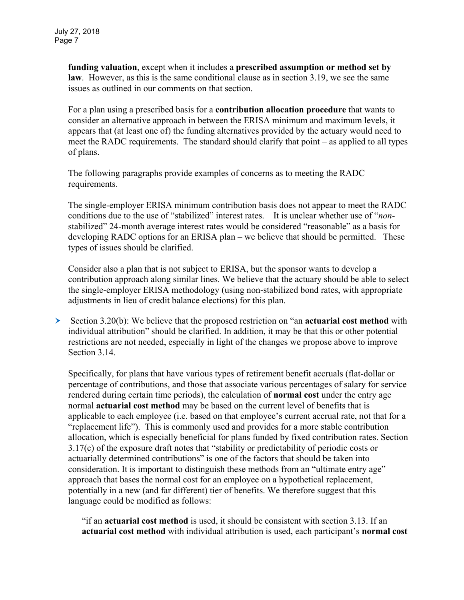**funding valuation**, except when it includes a **prescribed assumption or method set by law**. However, as this is the same conditional clause as in section 3.19, we see the same issues as outlined in our comments on that section.

For a plan using a prescribed basis for a **contribution allocation procedure** that wants to consider an alternative approach in between the ERISA minimum and maximum levels, it appears that (at least one of) the funding alternatives provided by the actuary would need to meet the RADC requirements. The standard should clarify that point – as applied to all types of plans.

The following paragraphs provide examples of concerns as to meeting the RADC requirements.

The single-employer ERISA minimum contribution basis does not appear to meet the RADC conditions due to the use of "stabilized" interest rates. It is unclear whether use of "*non*stabilized" 24-month average interest rates would be considered "reasonable" as a basis for developing RADC options for an ERISA plan – we believe that should be permitted. These types of issues should be clarified.

Consider also a plan that is not subject to ERISA, but the sponsor wants to develop a contribution approach along similar lines. We believe that the actuary should be able to select the single-employer ERISA methodology (using non-stabilized bond rates, with appropriate adjustments in lieu of credit balance elections) for this plan.

 Section 3.20(b): We believe that the proposed restriction on "an **actuarial cost method** with individual attribution" should be clarified. In addition, it may be that this or other potential restrictions are not needed, especially in light of the changes we propose above to improve Section 3.14.

Specifically, for plans that have various types of retirement benefit accruals (flat-dollar or percentage of contributions, and those that associate various percentages of salary for service rendered during certain time periods), the calculation of **normal cost** under the entry age normal **actuarial cost method** may be based on the current level of benefits that is applicable to each employee (i.e. based on that employee's current accrual rate, not that for a "replacement life"). This is commonly used and provides for a more stable contribution allocation, which is especially beneficial for plans funded by fixed contribution rates. Section 3.17(c) of the exposure draft notes that "stability or predictability of periodic costs or actuarially determined contributions" is one of the factors that should be taken into consideration. It is important to distinguish these methods from an "ultimate entry age" approach that bases the normal cost for an employee on a hypothetical replacement, potentially in a new (and far different) tier of benefits. We therefore suggest that this language could be modified as follows:

"if an **actuarial cost method** is used, it should be consistent with section 3.13. If an **actuarial cost method** with individual attribution is used, each participant's **normal cost**